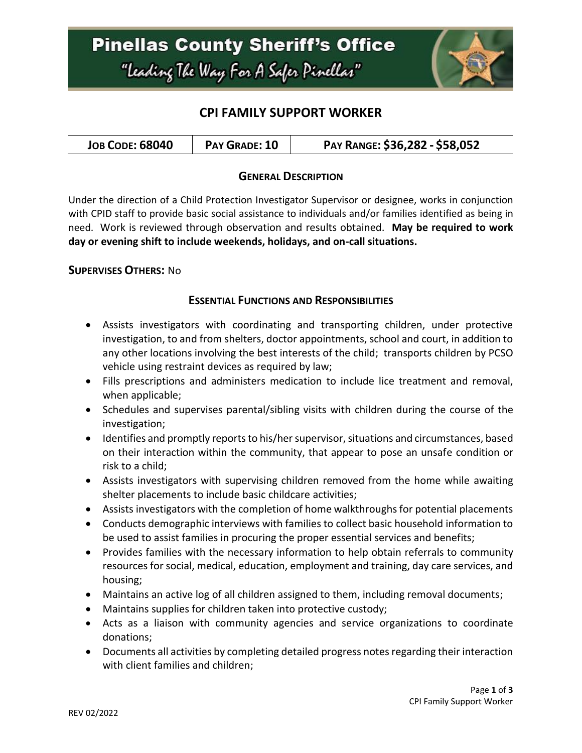### **CPI FAMILY SUPPORT WORKER**

| <b>JOB CODE: 68040</b><br>PAY GRADE: 10 | PAY RANGE: \$36,282 - \$58,052 |
|-----------------------------------------|--------------------------------|
|-----------------------------------------|--------------------------------|

### **GENERAL DESCRIPTION**

Under the direction of a Child Protection Investigator Supervisor or designee, works in conjunction with CPID staff to provide basic social assistance to individuals and/or families identified as being in need. Work is reviewed through observation and results obtained. **May be required to work day or evening shift to include weekends, holidays, and on-call situations.**

### **SUPERVISES OTHERS:** No

### **ESSENTIAL FUNCTIONS AND RESPONSIBILITIES**

- Assists investigators with coordinating and transporting children, under protective investigation, to and from shelters, doctor appointments, school and court, in addition to any other locations involving the best interests of the child; transports children by PCSO vehicle using restraint devices as required by law;
- Fills prescriptions and administers medication to include lice treatment and removal, when applicable;
- Schedules and supervises parental/sibling visits with children during the course of the investigation;
- Identifies and promptly reports to his/her supervisor, situations and circumstances, based on their interaction within the community, that appear to pose an unsafe condition or risk to a child;
- Assists investigators with supervising children removed from the home while awaiting shelter placements to include basic childcare activities;
- Assists investigators with the completion of home walkthroughs for potential placements
- Conducts demographic interviews with families to collect basic household information to be used to assist families in procuring the proper essential services and benefits;
- Provides families with the necessary information to help obtain referrals to community resources for social, medical, education, employment and training, day care services, and housing;
- Maintains an active log of all children assigned to them, including removal documents;
- Maintains supplies for children taken into protective custody;
- Acts as a liaison with community agencies and service organizations to coordinate donations;
- Documents all activities by completing detailed progress notes regarding their interaction with client families and children;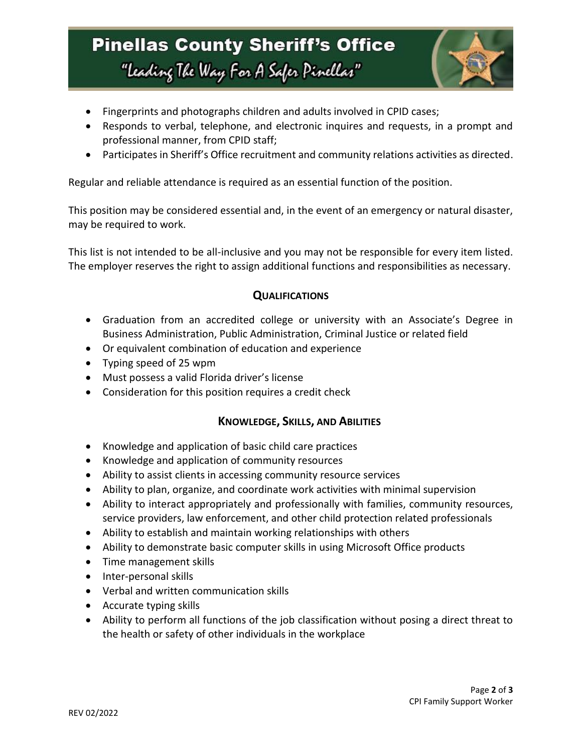## **Pinellas County Sheriff's Office** "Leading The Way For A Safer Pinellar"



- Fingerprints and photographs children and adults involved in CPID cases;
- Responds to verbal, telephone, and electronic inquires and requests, in a prompt and professional manner, from CPID staff;
- Participates in Sheriff's Office recruitment and community relations activities as directed.

Regular and reliable attendance is required as an essential function of the position.

This position may be considered essential and, in the event of an emergency or natural disaster, may be required to work.

This list is not intended to be all-inclusive and you may not be responsible for every item listed. The employer reserves the right to assign additional functions and responsibilities as necessary.

### **QUALIFICATIONS**

- Graduation from an accredited college or university with an Associate's Degree in Business Administration, Public Administration, Criminal Justice or related field
- Or equivalent combination of education and experience
- Typing speed of 25 wpm
- Must possess a valid Florida driver's license
- Consideration for this position requires a credit check

### **KNOWLEDGE, SKILLS, AND ABILITIES**

- Knowledge and application of basic child care practices
- Knowledge and application of community resources
- Ability to assist clients in accessing community resource services
- Ability to plan, organize, and coordinate work activities with minimal supervision
- Ability to interact appropriately and professionally with families, community resources, service providers, law enforcement, and other child protection related professionals
- Ability to establish and maintain working relationships with others
- Ability to demonstrate basic computer skills in using Microsoft Office products
- Time management skills
- Inter-personal skills
- Verbal and written communication skills
- Accurate typing skills
- Ability to perform all functions of the job classification without posing a direct threat to the health or safety of other individuals in the workplace